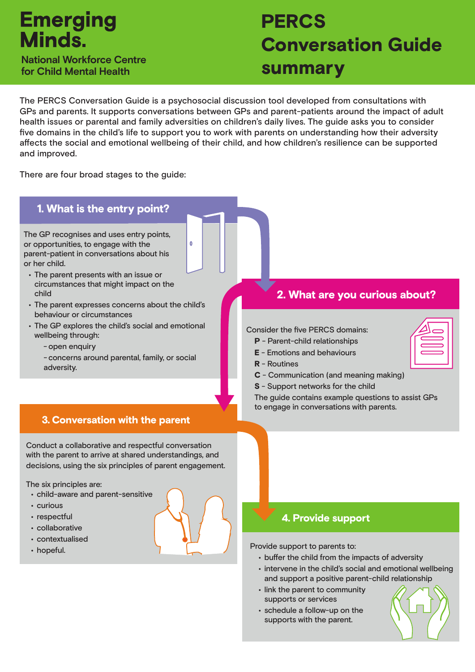## **Emerging Minds National Workforce Centre**

**for Child Mental Health**

# **PERCS** Conversation Guide summary

The PERCS Conversation Guide is a psychosocial discussion tool developed from consultations with GPs and parents. It supports conversations between GPs and parent-patients around the impact of adult health issues or parental and family adversities on children's daily lives. The guide asks you to consider five domains in the child's life to support you to work with parents on understanding how their adversity affects the social and emotional wellbeing of their child, and how children's resilience can be supported and improved.

There are four broad stages to the guide:



- respectful
- collaborative
- contextualised
- hopeful.

## 4. Provide support

Provide support to parents to:

- buffer the child from the impacts of adversity
- intervene in the child's social and emotional wellbeing and support a positive parent-child relationship
- link the parent to community supports or services
- schedule a follow-up on the supports with the parent.

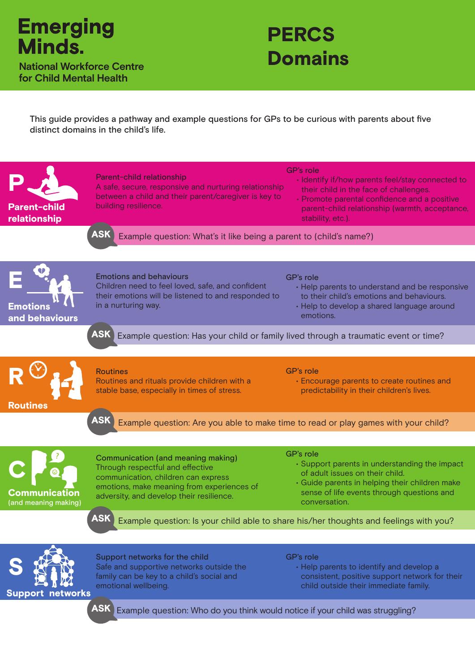

**for Child Mental Health**



This guide provides a pathway and example questions for GPs to be curious with parents about five distinct domains in the child's life.

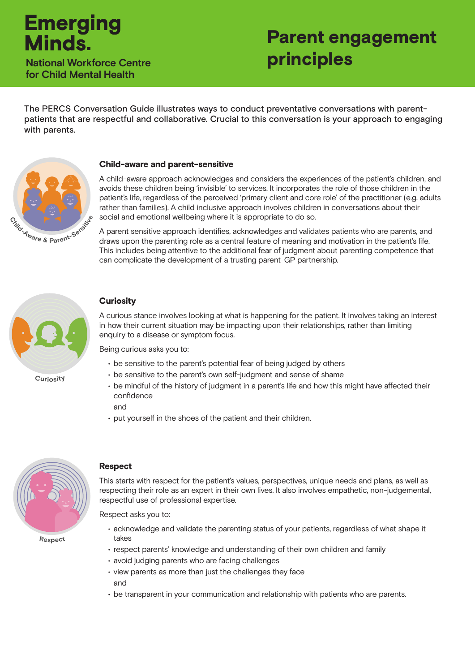# **Emerging**<br>Minds

**for Child Mental Health**

# Parent engagement **National Workforce Centre principles**

The PERCS Conversation Guide illustrates ways to conduct preventative conversations with parentpatients that are respectful and collaborative. Crucial to this conversation is your approach to engaging with parents.



#### Child-aware and parent-sensitive

A child-aware approach acknowledges and considers the experiences of the patient's children, and avoids these children being 'invisible' to services. It incorporates the role of those children in the patient's life, regardless of the perceived 'primary client and core role' of the practitioner (e.g. adults rather than families). A child inclusive approach involves children in conversations about their social and emotional wellbeing where it is appropriate to do so.

A parent sensitive approach identifies, acknowledges and validates patients who are parents, and draws upon the parenting role as a central feature of meaning and motivation in the patient's life. This includes being attentive to the additional fear of judgment about parenting competence that can complicate the development of a trusting parent-GP partnership.



**C<sup>u</sup>riosity**

### **Curiosity**

A curious stance involves looking at what is happening for the patient. It involves taking an interest in how their current situation may be impacting upon their relationships, rather than limiting enquiry to a disease or symptom focus.

Being curious asks you to:

- be sensitive to the parent's potential fear of being judged by others
- be sensitive to the parent's own self-judgment and sense of shame

• put yourself in the shoes of the patient and their children.

- be mindful of the history of judgment in a parent's life and how this might have affected their confidence
	- and



## Respect

This starts with respect for the patient's values, perspectives, unique needs and plans, as well as respecting their role as an expert in their own lives. It also involves empathetic, non-judgemental, respectful use of professional expertise.

Respect asks you to:

- acknowledge and validate the parenting status of your patients, regardless of what shape it takes
- respect parents' knowledge and understanding of their own children and family
- avoid judging parents who are facing challenges
- view parents as more than just the challenges they face and
- be transparent in your communication and relationship with patients who are parents.